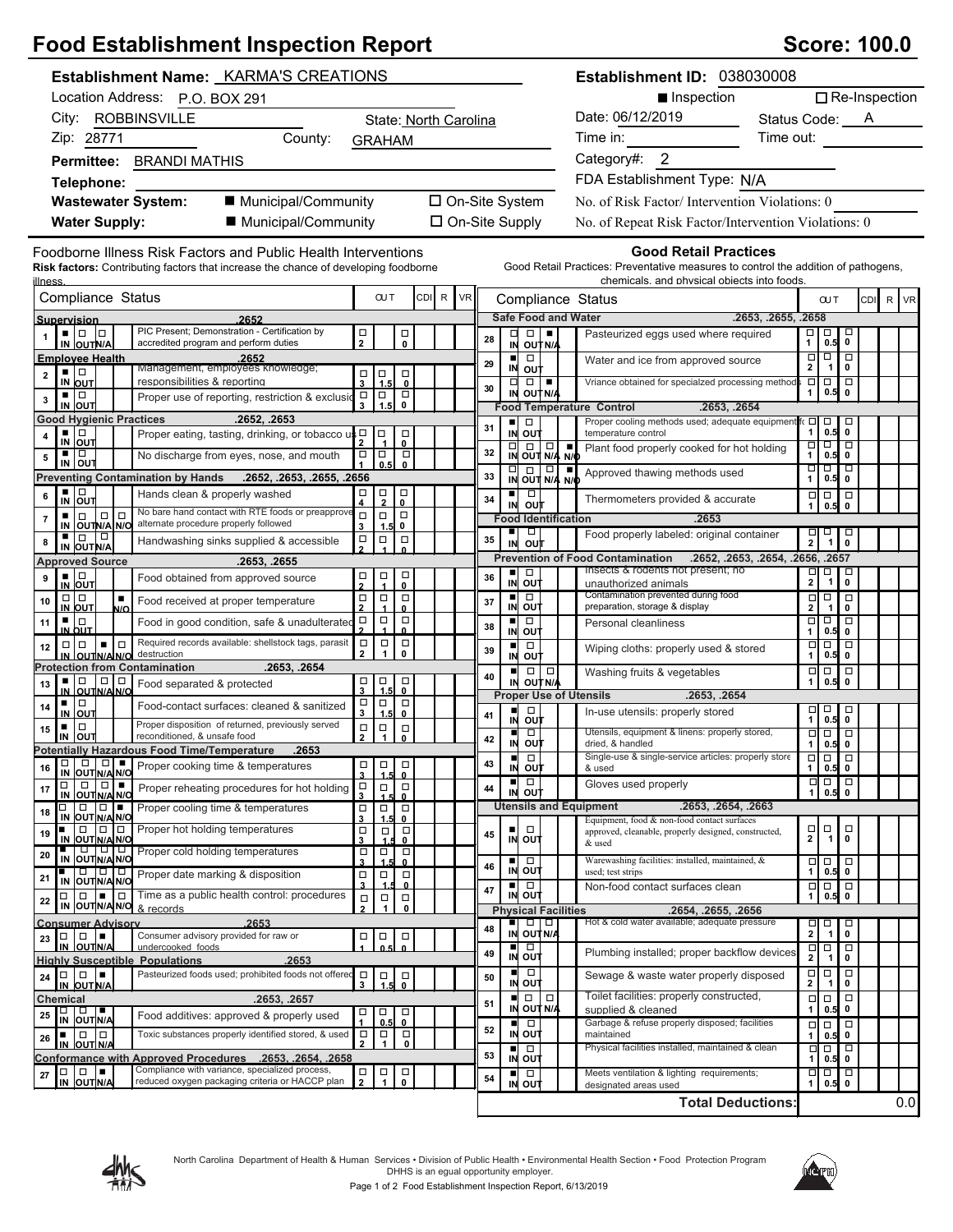# **Food Establishment Inspection Report Score: 100.0**

| <b>Establishment Name: KARMA'S CREATIONS</b>                                                                                                          |                                                                            |                                                                                    |                       |           |                |                                                                                                     | Establishment ID: 038030008                                                                                                                                                                                                                 |                                             |                                                                            |                                                  |                      |  |
|-------------------------------------------------------------------------------------------------------------------------------------------------------|----------------------------------------------------------------------------|------------------------------------------------------------------------------------|-----------------------|-----------|----------------|-----------------------------------------------------------------------------------------------------|---------------------------------------------------------------------------------------------------------------------------------------------------------------------------------------------------------------------------------------------|---------------------------------------------|----------------------------------------------------------------------------|--------------------------------------------------|----------------------|--|
| Location Address: P.O. BOX 291                                                                                                                        |                                                                            |                                                                                    |                       |           |                |                                                                                                     | Inspection                                                                                                                                                                                                                                  |                                             |                                                                            |                                                  | $\Box$ Re-Inspection |  |
| City: ROBBINSVILLE                                                                                                                                    |                                                                            |                                                                                    | State: North Carolina |           |                |                                                                                                     | Date: 06/12/2019<br>Status Code: A                                                                                                                                                                                                          |                                             |                                                                            |                                                  |                      |  |
| Zip: 28771<br>County:                                                                                                                                 | <b>GRAHAM</b>                                                              |                                                                                    |                       |           |                |                                                                                                     | Time in: The state of the state of the state of the state of the state of the state of the state of the state of the state of the state of the state of the state of the state of the state of the state of the state of the s<br>Time out: |                                             |                                                                            |                                                  |                      |  |
| Permittee: BRANDI MATHIS                                                                                                                              |                                                                            |                                                                                    |                       |           |                |                                                                                                     | Category#: 2                                                                                                                                                                                                                                |                                             |                                                                            |                                                  |                      |  |
| Telephone:                                                                                                                                            |                                                                            |                                                                                    |                       |           |                |                                                                                                     | FDA Establishment Type: N/A                                                                                                                                                                                                                 |                                             |                                                                            |                                                  |                      |  |
| ■ Municipal/Community<br><b>Wastewater System:</b>                                                                                                    |                                                                            |                                                                                    | □ On-Site System      |           |                |                                                                                                     | No. of Risk Factor/Intervention Violations: 0                                                                                                                                                                                               |                                             |                                                                            |                                                  |                      |  |
| <b>Water Supply:</b><br>■ Municipal/Community                                                                                                         |                                                                            |                                                                                    | □ On-Site Supply      |           |                |                                                                                                     | No. of Repeat Risk Factor/Intervention Violations: 0                                                                                                                                                                                        |                                             |                                                                            |                                                  |                      |  |
|                                                                                                                                                       |                                                                            |                                                                                    |                       |           |                |                                                                                                     |                                                                                                                                                                                                                                             |                                             |                                                                            |                                                  |                      |  |
| Foodborne Illness Risk Factors and Public Health Interventions<br>Risk factors: Contributing factors that increase the chance of developing foodborne |                                                                            |                                                                                    |                       |           |                |                                                                                                     | <b>Good Retail Practices</b><br>Good Retail Practices: Preventative measures to control the addition of pathogens,                                                                                                                          |                                             |                                                                            |                                                  |                      |  |
| <u>illness</u>                                                                                                                                        |                                                                            | <b>OUT</b>                                                                         |                       |           |                |                                                                                                     | chemicals, and physical objects into foods                                                                                                                                                                                                  |                                             |                                                                            |                                                  |                      |  |
| Compliance Status                                                                                                                                     |                                                                            |                                                                                    | CDI R                 | <b>VR</b> |                |                                                                                                     | Compliance Status                                                                                                                                                                                                                           |                                             | <b>OUT</b>                                                                 |                                                  | CDI R VR             |  |
| Supervision<br>2652<br>PIC Present; Demonstration - Certification by<br>. 10<br>$\Box$                                                                |                                                                            |                                                                                    |                       |           | □              | <b>Safe Food and Water</b><br>$\Box$<br>$\blacksquare$                                              | .2653, .2655, .2658<br>Pasteurized eggs used where required                                                                                                                                                                                 | □                                           | □                                                                          | □                                                |                      |  |
| accredited program and perform duties<br>IN OUTN/A                                                                                                    | $\mathop\square_2$                                                         | $\overline{\phantom{0}}_{\phantom{0}}^{\square}$                                   |                       | 28        |                | IN OUT N/A                                                                                          |                                                                                                                                                                                                                                             | $\mathbf{1}$                                | 0.5                                                                        | $\mathbf 0$                                      |                      |  |
| <b>Employee Health</b><br>.2652<br>Management, employees knowledge;<br>▪ □                                                                            |                                                                            |                                                                                    |                       | 29        | П              | $\Box$<br>IN OUT                                                                                    | Water and ice from approved source                                                                                                                                                                                                          | $\overline{\Box}$<br>$\mathbf{2}$           | $\overline{\blacksquare}$<br>$\mathbf 1$                                   | $\mathbf 0$                                      |                      |  |
| $\mathbf 2$<br>responsibilities & reporting<br>IN OUT                                                                                                 | $\vert$ <sup><math>\frac{\Box}{1.5}</math></sup><br>$\frac{\Box}{3}$       | $\overline{\phantom{0}0}$                                                          |                       | 30        | $\Box$<br>IN   | $\Box$<br>$\blacksquare$<br>OUT N/A                                                                 | Vriance obtained for specialzed processing method                                                                                                                                                                                           | $\Box$<br>$\mathbf{1}$                      | $\Box$ $\Box$<br>0.5                                                       | $\mathbf 0$                                      |                      |  |
| ▪│□<br>Proper use of reporting, restriction & exclusio<br>$\mathbf 3$<br>IN OUT                                                                       | $\Box$<br>$\Box$<br>$\overline{\mathbf{3}}$                                | $\Box$<br>$\mathbf 0$                                                              |                       |           |                |                                                                                                     | .2653. .2654<br><b>Food Temperature Control</b>                                                                                                                                                                                             |                                             |                                                                            |                                                  |                      |  |
| <b>Good Hygienic Practices</b><br>.2652, .2653                                                                                                        |                                                                            |                                                                                    |                       | 31        | ш              | $\Box$                                                                                              | Proper cooling methods used; adequate equipment fo □                                                                                                                                                                                        | $\mathbf{1}$                                | $\Box$<br>$0.5$ 0                                                          | O                                                |                      |  |
| ▪ □<br>Proper eating, tasting, drinking, or tobacco<br>4<br>IN OUT                                                                                    | սահ⊐<br>σ                                                                  | □<br>$\mathbf{0}$                                                                  |                       |           |                | IN OUT                                                                                              | temperature control<br>Plant food properly cooked for hot holding                                                                                                                                                                           | $\begin{array}{c}\n\Box \\ 1\n\end{array}$  | ठा व                                                                       |                                                  |                      |  |
| ▪ ▏□<br>No discharge from eyes, nose, and mouth<br>$\boldsymbol{5}$<br>IN OUT                                                                         | $\Box$<br>$\Box$                                                           | $\Box$<br>0.5<br>$\mathbf{0}$                                                      |                       | 32        |                | $\frac{1}{N}$ $\frac{1}{\frac{1}{N}}$ $\frac{1}{N/4}$ $\frac{1}{N/6}$                               |                                                                                                                                                                                                                                             | ㅁ                                           | $0.5$ 0<br>णण                                                              |                                                  |                      |  |
| <b>Preventing Contamination by Hands</b><br>.2652, .2653, .2655, .2656                                                                                |                                                                            |                                                                                    |                       | 33        |                | $\frac{1}{N}$ out $\frac{1}{N/4}$ $\frac{1}{N/4}$                                                   | Approved thawing methods used                                                                                                                                                                                                               | $\mathbf{1}$                                | $0.5$ 0                                                                    |                                                  |                      |  |
| □<br>Hands clean & properly washed<br>6<br>IN OUT                                                                                                     | $\frac{\Box}{2}$<br>$\frac{\Box}{4}$                                       | $\frac{\Box}{0}$                                                                   |                       | 34        |                | $\begin{array}{c} \blacksquare \square \\ \blacksquare \square \square \\ \square \top \end{array}$ | Thermometers provided & accurate                                                                                                                                                                                                            | $\begin{array}{c}\n\Box \\ 1\n\end{array}$  | $\Box$<br>0.5                                                              | $\Box$<br>$\mathbf 0$                            |                      |  |
| No bare hand contact with RTE foods or preapprove<br>$\Box$<br>$\Box$<br>٠<br>7<br>alternate procedure properly followed<br>IN OUTN/A N/O             | $\Box$<br>$\Box$<br>3                                                      | $\Box$<br>0<br>1.5                                                                 |                       |           |                | <b>Food Identification</b>                                                                          | .2653                                                                                                                                                                                                                                       |                                             |                                                                            |                                                  |                      |  |
| IN OUT N/A<br>Handwashing sinks supplied & accessible<br>8                                                                                            | $\frac{\Box}{2}$<br>$\Box$                                                 | $\Box$                                                                             |                       | 35        | ٠<br>IN        | $\Box$<br>out                                                                                       | Food properly labeled: original container                                                                                                                                                                                                   | $\frac{\Box}{2}$                            | 耳                                                                          | $\overline{\phantom{0}}_{\phantom{0}}^{\square}$ |                      |  |
| .2653, .2655<br><b>Approved Source</b>                                                                                                                |                                                                            |                                                                                    |                       |           |                |                                                                                                     | <b>Prevention of Food Contamination</b><br>.2652, .2653, .2654, .2656, .2657                                                                                                                                                                |                                             |                                                                            |                                                  |                      |  |
| ▪ □<br>Food obtained from approved source<br>9                                                                                                        | $\frac{\Box}{4}$<br>$\frac{\Box}{2}$                                       | $\Box$<br>$\mathbf{0}$                                                             |                       | 36        | ш<br>IN        | $\Box$<br>out                                                                                       | Insects & rodents not present; no                                                                                                                                                                                                           | □<br>$\overline{2}$                         | p<br>$\mathbf{1}$                                                          | $\Box$<br>0                                      |                      |  |
| IN OUT<br>$\Box   \Box$<br>$\blacksquare$<br>Food received at proper temperature<br>10                                                                | $\frac{\Box}{2}$<br>$\Box$                                                 | $\Box$                                                                             |                       | 37        | $\blacksquare$ | ō                                                                                                   | unauthorized animals<br>Contamination prevented during food                                                                                                                                                                                 | $\frac{\Box}{2}$                            | $\Box$                                                                     | $\Box$                                           |                      |  |
| IN OUT<br>N/O<br>Iо<br>Food in good condition, safe & unadulterated                                                                                   | $\Box$<br>$\Box$                                                           | $\overline{1}$<br>$\Omega$<br>$\Box$                                               |                       |           | $\blacksquare$ | IN OUT<br>$\Box$                                                                                    | preparation, storage & display                                                                                                                                                                                                              | $\Box$                                      | $\mathbf{1}$<br>□                                                          | $\pmb{0}$<br>O                                   |                      |  |
| 11<br>IN OUT<br>Required records available: shellstock tags, parasit                                                                                  |                                                                            | 0                                                                                  |                       | 38        |                | IN OUT                                                                                              | Personal cleanliness                                                                                                                                                                                                                        | $\mathbf{1}$                                | 0.5                                                                        | $\mathbf 0$                                      |                      |  |
| la Lo<br>$\Box$<br>12<br>destruction<br>IN OUTNAINO                                                                                                   | $\Box$<br>$\overline{2}$                                                   | $\begin{array}{c}\n\Box \\ \hline\n1\n\end{array}$<br>$\Box$<br>$\pmb{\mathsf{o}}$ |                       | 39        | $\blacksquare$ | $\Box$<br>IN OUT                                                                                    | Wiping cloths: properly used & stored                                                                                                                                                                                                       | $\Box$<br>$\mathbf{1}$                      | $\Box$<br>0.5 0                                                            | Þ                                                |                      |  |
| <b>Protection from Contamination</b><br>.2653, .2654                                                                                                  |                                                                            |                                                                                    |                       | 40        | $\blacksquare$ | $\Box   \Box$                                                                                       | Washing fruits & vegetables                                                                                                                                                                                                                 | $\Box$<br>$\mathbf{1}$                      | $\Box$<br>0.5                                                              | $\Box$<br>$\mathbf 0$                            |                      |  |
| ■ □ □ □<br>In OUTN/AN/O<br>Food separated & protected<br>13                                                                                           | $\begin{array}{c}\n\Box \\ 3\n\end{array}$                                 | $\vert$ $\frac{\Box}{1.5}$<br>$\overline{0}$                                       |                       |           |                | IN OUTNA                                                                                            | <b>Proper Use of Utensils</b><br>.2653, .2654                                                                                                                                                                                               |                                             |                                                                            |                                                  |                      |  |
| ▪ │□<br>Food-contact surfaces: cleaned & sanitized<br>14<br>IN OUT                                                                                    | $\begin{array}{c}\n\Box \\ \Box\n\end{array}$                              | $\Box$<br>$\Box$<br>1.5<br>$\mathbf{0}$                                            |                       | 41        | п<br>IN        | $\Box$<br>out                                                                                       | In-use utensils: properly stored                                                                                                                                                                                                            |                                             | $7\frac{1}{0.5}$<br>$0.5$ 0                                                | $\Box$                                           |                      |  |
| Proper disposition of returned, previously served<br>$\Box$<br>٠<br>15<br>IN OUT<br>reconditioned, & unsafe food                                      | $\mathop\square\limits_2$<br>$\begin{array}{c}\n\Box \\ \Box\n\end{array}$ | $\Box$                                                                             |                       | 42        |                | $\Box$                                                                                              | Utensils, equipment & linens: properly stored,                                                                                                                                                                                              | $\overline{\square}$                        | □                                                                          | ⊺□                                               |                      |  |
| <b>Potentially Hazardous Food Time/Temperature</b><br>.2653                                                                                           |                                                                            |                                                                                    |                       |           | IN<br>릐        | ουτ<br>$\Box$                                                                                       | dried, & handled<br>Single-use & single-service articles: properly store                                                                                                                                                                    | $\mathbf{1}$                                | $0.5$ 0<br>$\Box$ $\Box$ $\Box$                                            |                                                  |                      |  |
| $\Box$<br>□<br>$\Box$<br>Proper cooking time & temperatures<br>16<br>IN OUT N/A N/C                                                                   | $\begin{array}{c}\n\Box \\ 3\n\end{array}$                                 | $\Box$<br>$\Box$<br>$\mathbf{0}$<br>1.5                                            |                       | 43        | IN             | out                                                                                                 | & used                                                                                                                                                                                                                                      | 1                                           | $0.5$ 0                                                                    |                                                  |                      |  |
| $\Box$<br>Proper reheating procedures for hot holding<br>17<br>IN OUT N/A N/O                                                                         | $\begin{array}{c}\n\Box \\ 3\n\end{array}$                                 | $\Box$<br>$\Box$<br>0                                                              |                       | 44        | ш              | $\Box$<br>IN OUT                                                                                    | Gloves used properly                                                                                                                                                                                                                        | $\Box$<br>$\mathbf{1}$                      | $\begin{array}{c c} \hline \textbf{u} & \textbf{u} \end{array}$<br>$0.5$ 0 |                                                  |                      |  |
| $\Box$<br>10 I L<br>Proper cooling time & temperatures<br>П<br>18                                                                                     | $\Box$<br>$\begin{array}{c}\n\Box \\ 3\n\end{array}$                       | $\Box$                                                                             |                       |           |                |                                                                                                     | <b>Utensils and Equipment</b><br>.2653, .2654, .2663                                                                                                                                                                                        |                                             |                                                                            |                                                  |                      |  |
| IN OUT N/A N/O<br>$\Box$ 0 0<br>Proper hot holding temperatures<br>19                                                                                 | $\frac{\Box}{3}$                                                           | 1.5<br>0<br>$\Box$<br>σ                                                            |                       | 45        | ٠              | $\Box$                                                                                              | Equipment, food & non-food contact surfaces<br>approved, cleanable, properly designed, constructed,                                                                                                                                         | $\frac{\Box}{2}$                            | $\Gamma$ <sub>1</sub>                                                      | α                                                |                      |  |
| IN OUT N/A N/O<br>IN OUTNANO<br>Proper cold holding temperatures<br>20                                                                                | $\frac{\Box}{3}$<br>$\Box$                                                 | 0<br>$\Box$                                                                        |                       |           |                | IN OUT                                                                                              | & used                                                                                                                                                                                                                                      |                                             |                                                                            | $\mathbf{0}$                                     |                      |  |
| 8   8   8  <br>8  <br>Proper date marking & disposition                                                                                               | $\Box$<br>$\Box$                                                           | 1.5<br>0<br>$\Box$                                                                 |                       | 46        |                | $\frac{1}{N}$ out                                                                                   | Warewashing facilities: installed, maintained, &<br>used; test strips                                                                                                                                                                       | $\Box$<br>$\mathbf{1}$                      | $\Box$<br>$0.5$ 0                                                          | $\Box$                                           |                      |  |
| 21<br>IN OUT N/A N/O<br>a   a   <b>e  </b> a  <br>Time as a public health control: procedures                                                         | $\overline{\mathbf{3}}$                                                    | 0                                                                                  |                       | 47        | ш              | $\Box$<br>IN OUT                                                                                    | Non-food contact surfaces clean                                                                                                                                                                                                             | $\Box$<br>$\mathbf{1}$                      | $\Box$<br>$0.5$ 0                                                          | $\Box$                                           |                      |  |
| 22<br>IN OUT N/A N/O & records                                                                                                                        | $\Box$<br>$\overline{2}$                                                   | $\Box$<br>$\Box$<br>$\ddot{\phantom{0}}$<br>0                                      |                       |           |                | <b>Physical Facilities</b>                                                                          | .2654, .2655, .2656                                                                                                                                                                                                                         |                                             |                                                                            |                                                  |                      |  |
| .2653<br><b>Consumer Advisory</b>                                                                                                                     |                                                                            |                                                                                    |                       | 48        | $\blacksquare$ | $\begin{array}{c c} \hline \textbf{C} & \textbf{D} & \textbf{D} \end{array}$<br>IN OUT N/A          | Hot & cold water available; adequate pressure                                                                                                                                                                                               | $\frac{\Box}{2}$                            | □<br>$\overline{1}$                                                        | 믕                                                |                      |  |
| Consumer advisory provided for raw or<br>$\Box   \Box   =$<br>23<br>IN OUTINA<br>undercooked foods                                                    | 口<br>1                                                                     | $\frac{1}{0.5}$<br>$\Box$<br>$\mathbf{0}$                                          |                       |           | ■              | O                                                                                                   | Plumbing installed; proper backflow devices                                                                                                                                                                                                 | $\frac{\Box}{2}$                            | □                                                                          | $\Box$                                           |                      |  |
| <b>Highly Susceptible Populations</b><br>.2653                                                                                                        |                                                                            |                                                                                    |                       | 49        | 릐              | IN OUT                                                                                              |                                                                                                                                                                                                                                             |                                             | $\mathbf{1}$                                                               | 0                                                |                      |  |
| Pasteurized foods used; prohibited foods not offered<br>$\Box$<br>$\Box$<br>24<br>IN<br>OUT N/A                                                       | $\Box$<br>$\mathbf{3}$                                                     | $\Box$<br>$_{\rm o}^{\Box}$                                                        |                       | 50        |                | $\Box$<br>IN OUT                                                                                    | Sewage & waste water properly disposed                                                                                                                                                                                                      | $\frac{\Box}{2}$                            | $\Box$<br>$\mathbf{1}$                                                     | $\Box$<br>0                                      |                      |  |
| Chemical<br>.2653, .2657                                                                                                                              |                                                                            |                                                                                    |                       | 51        | п              | $\Box$<br>$\Box$<br>IN OUT N/A                                                                      | Toilet facilities: properly constructed,<br>supplied & cleaned                                                                                                                                                                              | $\begin{array}{c} \square \\ 1 \end{array}$ | $\Box$<br>0.5                                                              | α<br>$\mathbf{0}$                                |                      |  |
| 0   0   <b>0</b><br>Food additives: approved & properly used<br>25<br>IN OUTN/A                                                                       | $\Box$<br>口<br>1                                                           | о<br>$\mathbf 0$<br>0.5                                                            |                       | 52        | $\blacksquare$ | □                                                                                                   | Garbage & refuse properly disposed; facilities                                                                                                                                                                                              | $\Box$                                      | $\Box$                                                                     | $\Box$                                           |                      |  |
| Toxic substances properly identified stored, & used<br>$\blacksquare$   $\Box$   $\Box$<br>26<br>IN OUT N/A                                           | $\Box$<br>$\Box$<br>$\overline{2}$                                         | Π<br>1<br>$\mathbf 0$                                                              |                       |           | ш              | IN OUT<br>$\Box$                                                                                    | maintained<br>Physical facilities installed, maintained & clean                                                                                                                                                                             | $\mathbf{1}$<br>□                           | $0.5$ 0<br>$\Box$                                                          | $\Box$                                           |                      |  |
| <b>Conformance with Approved Procedures</b><br>.2653. .2654. .2658                                                                                    |                                                                            |                                                                                    |                       | 53        |                | IN OUT                                                                                              |                                                                                                                                                                                                                                             | 1                                           | 0.5                                                                        | $\mathbf{0}$                                     |                      |  |
| Compliance with variance, specialized process,<br>27<br>IN OUTN/A<br>reduced oxygen packaging criteria or HACCP plan                                  | $\Box$<br>$\Box$<br>$\overline{2}$                                         | $\Box$<br>$\mathbf 0$                                                              |                       | 54        |                | $\frac{1}{N}$ out                                                                                   | Meets ventilation & lighting requirements;<br>designated areas used                                                                                                                                                                         | □<br>$\mathbf{1}$                           | $\begin{array}{c c} \hline \textbf{0} & \textbf{0} \end{array}$<br>$0.5$ 0 |                                                  |                      |  |
|                                                                                                                                                       |                                                                            |                                                                                    |                       |           |                |                                                                                                     | <b>Total Deductions:</b>                                                                                                                                                                                                                    |                                             |                                                                            |                                                  | 0.0                  |  |



North Carolina Department of Health & Human Services • Division of Public Health • Environmental Health Section • Food Protection Program DHHS is an egual opportunity employer.